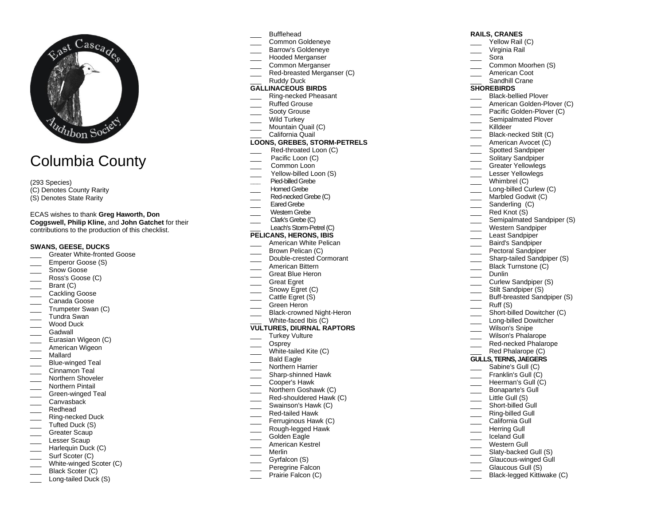

# Columbia County

(293 Species)

- (C) Denotes County Rarity
- (S) Denotes State Rarity

ECAS wishes to thank **Greg Haworth, Don Coggswell , Philip Kline ,** and **John Gatchet** for their contributions to the production of this checklist.

## **SWANS, GEESE, DUCKS**

- \_\_\_ Greater White -fronted Goose
- Emperor Goose (S)
- Snow Goose
- \_\_\_ Ross's Goose (C)
- Brant (C)
- Cackling Goose
- \_\_\_ Canada Go ose
- \_\_\_ Trumpeter Swan (C)
- \_\_\_ Tundra Swan
- Wood Duck
- Gadwall
- \_\_\_ Eurasian Wigeon (C)
- American Wigeon
- \_\_\_ Mallard
- \_\_\_ Blue -winged Teal
- \_\_\_ Cinnamon Teal
- Northern Shoveler
- Northern Pintail
- \_\_\_ Green -winged Teal Canvasback
- \_\_\_ Redhead
- \_\_\_ Ring -necked Duck
- Tufted Duck (S)
- \_\_\_ Greater Scaup
- Lesser Scaup
- Harlequin Duck (C)
- Surf Scoter (C)
- \_\_\_ White -winged Scoter (C)
- \_\_\_ Black Scoter (C)
- \_\_\_ Long-tailed Duck (S)
- **Bufflehead**
- \_\_\_ Common Goldeneye
- \_\_\_ Barrow's Goldeneye
- Hooded Merganser
- Common Merganser
- \_\_\_ Red -breasted Merganser (C)
- Ruddy Duck

# **GALLINACEOUS BIRDS**

- \_\_\_ Ri n g -necked Pheasant
- \_\_\_ Ruffed Grouse
- Sooty Grouse
- $\overline{\phantom{a}}$ Wild Turkey
- \_\_\_ Mountain Quail (C)
- \_\_\_ California Quail

#### **LOONS, GREBES, STORM -PETRELS**

- \_\_\_ Red -throated Loon (C)
- Pacific Loon (C)
- Common Loon
- \_\_\_ Yellow -billed Loon ( S )
- **\_\_\_** Pied -billed Grebe
- \_\_\_ Horned Grebe
- \_\_\_ Red -necked Grebe (C)
- Fared Grebe
- Western Grebe
- \_\_\_ Clark's Grebe (C)
- \_\_\_ Leach's Storm -Petrel(C)

# **PELICANS, HERONS, IBIS**

- American White Pelican<br>Brown Pelican (C)
- 
- \_\_\_ Double -crested Cormorant
- \_\_\_ American Bittern
- Great Blue Heron
- \_\_\_ Great Egret
- Snowy Egret (C)
- Cattle Egret (S)
- $\overline{\phantom{a}}$ Green Heron
- \_\_\_ Black -crowned Night -Heron
- \_\_\_ White -faced Ibis (C) **VULTURES, DIURNAL RAPTORS**
- Turkey Vulture
- \_\_\_ Osprey
- \_\_\_ White -tailed Kite (C)
- Bald Eagle
- Northern Harrier
- \_\_\_ Shar p -shinned Hawk
- \_\_\_ Cooper's Hawk
- $\overline{\phantom{a}}$ N orthern Goshawk (C)
- \_\_\_ Red -shouldered Hawk (C )
- Swainson's Hawk (C)
- \_\_\_ Red -tailed Hawk
- Ferruginous Hawk (C)
- \_\_\_ Rough -legged Hawk
- Golden Eagle
- American Kestrel
- $\overline{\phantom{a}}$ Merlin
- Gyrfalcon (S)
- \_\_\_ Peregrin e Falcon
- Prairie Falcon (C)

#### **RAILS, CRANES**

- Yellow Rail (C)
- \_\_\_ Virginia Rail
- \_\_\_ Sora
- Common Moorhen (S)

\_\_\_ Black -bellied Plover \_\_\_ American Golden-Plover (C) \_\_\_ Pacific Golden-Plover (C) Semipalmated Plover

Semipalmated Sandpiper (S) \_\_\_ Western Sandpiper Least Sandpiper \_\_\_ Baird's Sandpiper Pectoral Sandpiper \_\_\_ Sharp -tailed Sandpiper (S) Black Turnstone (C)

American Coot

Killdeer \_\_\_ Black -necked Stilt (C) American Avocet (C) Spotted Sandpiper \_\_\_\_ Solitary Sandpiper Greater Yellowlegs Lesser Yellowlegs Whimbrel (C) \_\_\_ Long -billed Curlew (C) Marbled Godwit (C) Sanderling (C) Red Knot (S)

Dunlin

Ruff (S)

\_\_\_ Little Gull ( S ) \_\_\_ Short -billed Gull \_\_\_ Ring -billed Gull California Gull<br>Herring Gull Iceland Gull Western Gull \_\_\_ Slaty -backed Gull (S) \_\_\_ Glaucous -winged Gull Glaucous Gull (S) \_\_\_ Black -legged Kittiwake (C)

\_\_\_ Long -billed Dowitcher Wilson's Snipe Wilson's Phalarope \_\_\_ Red -necked Phalarope Red Phalarope (C) **GULLS, TERNS, JAEGERS** Sabine's Gull (C) Franklin's Gull (C) Heerman's Gull (C) Bonaparte's Gull

 $\overline{\phantom{a}}$ 

Curlew Sandpiper (S) Stilt Sandpiper (S)

Buff -breasted Sandpiper (S)

Short-billed Dowitcher (C)

Sandhill Crane **SHOREBIRDS**